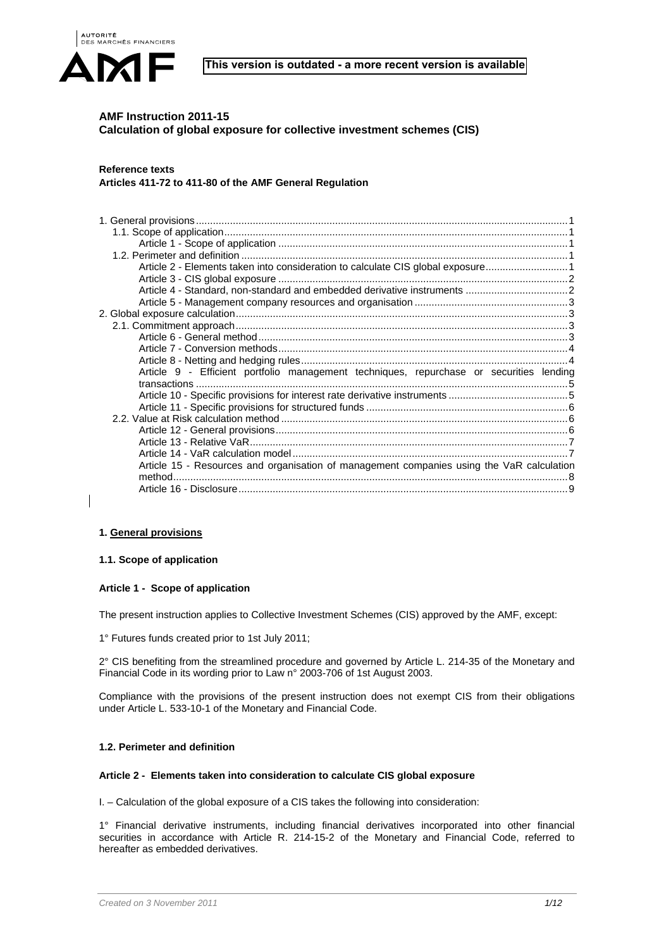



# **AMF Instruction 2011-15 Calculation of global exposure for collective investment schemes (CIS)**

# **Reference texts**

**Articles 411-72 to 411-80 of the AMF General Regulation** 

| Article 2 - Elements taken into consideration to calculate CIS global exposure1           |  |
|-------------------------------------------------------------------------------------------|--|
|                                                                                           |  |
|                                                                                           |  |
|                                                                                           |  |
|                                                                                           |  |
|                                                                                           |  |
|                                                                                           |  |
|                                                                                           |  |
|                                                                                           |  |
| Article 9 - Efficient portfolio management techniques, repurchase or securities lending   |  |
|                                                                                           |  |
|                                                                                           |  |
|                                                                                           |  |
|                                                                                           |  |
|                                                                                           |  |
|                                                                                           |  |
|                                                                                           |  |
| Article 15 - Resources and organisation of management companies using the VaR calculation |  |
|                                                                                           |  |
|                                                                                           |  |

# **1. General provisions**

# **1.1. Scope of application**

# **Article 1 - Scope of application**

The present instruction applies to Collective Investment Schemes (CIS) approved by the AMF, except:

1° Futures funds created prior to 1st July 2011;

2° CIS benefiting from the streamlined procedure and governed by Article L. 214-35 of the Monetary and Financial Code in its wording prior to Law n° 2003-706 of 1st August 2003.

Compliance with the provisions of the present instruction does not exempt CIS from their obligations under Article L. 533-10-1 of the Monetary and Financial Code.

# **1.2. Perimeter and definition**

## **Article 2 - Elements taken into consideration to calculate CIS global exposure**

I. – Calculation of the global exposure of a CIS takes the following into consideration:

1° Financial derivative instruments, including financial derivatives incorporated into other financial securities in accordance with Article R. 214-15-2 of the Monetary and Financial Code, referred to hereafter as embedded derivatives.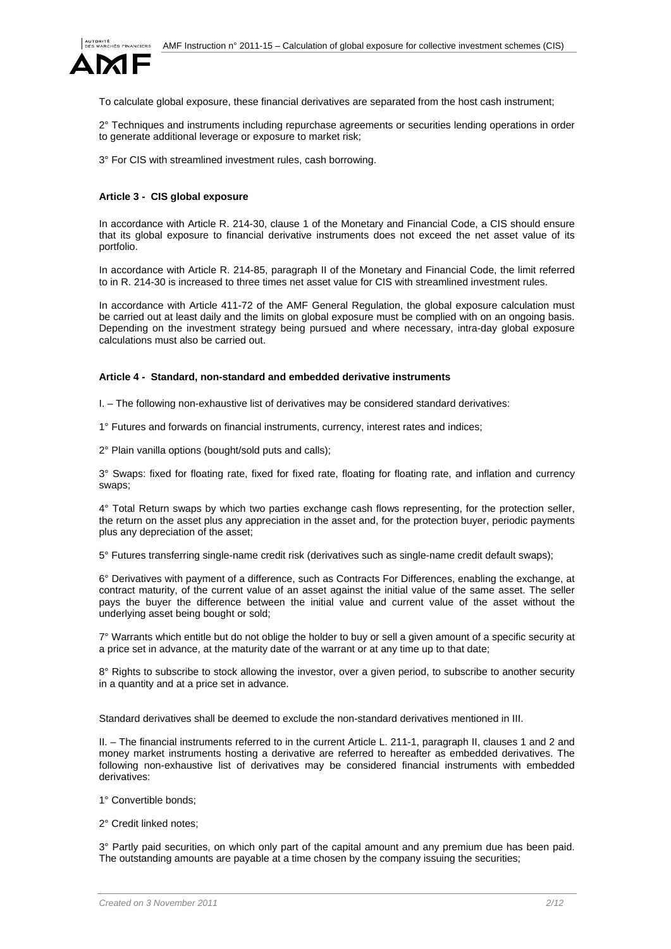

To calculate global exposure, these financial derivatives are separated from the host cash instrument;

2° Techniques and instruments including repurchase agreements or securities lending operations in order to generate additional leverage or exposure to market risk;

3° For CIS with streamlined investment rules, cash borrowing.

## **Article 3 - CIS global exposure**

In accordance with Article R. 214-30, clause 1 of the Monetary and Financial Code, a CIS should ensure that its global exposure to financial derivative instruments does not exceed the net asset value of its portfolio.

In accordance with Article R. 214-85, paragraph II of the Monetary and Financial Code, the limit referred to in R. 214-30 is increased to three times net asset value for CIS with streamlined investment rules.

In accordance with Article 411-72 of the AMF General Regulation, the global exposure calculation must be carried out at least daily and the limits on global exposure must be complied with on an ongoing basis. Depending on the investment strategy being pursued and where necessary, intra-day global exposure calculations must also be carried out.

## **Article 4 - Standard, non-standard and embedded derivative instruments**

I. – The following non-exhaustive list of derivatives may be considered standard derivatives:

1° Futures and forwards on financial instruments, currency, interest rates and indices;

2° Plain vanilla options (bought/sold puts and calls);

3° Swaps: fixed for floating rate, fixed for fixed rate, floating for floating rate, and inflation and currency swaps;

4° Total Return swaps by which two parties exchange cash flows representing, for the protection seller, the return on the asset plus any appreciation in the asset and, for the protection buyer, periodic payments plus any depreciation of the asset;

5° Futures transferring single-name credit risk (derivatives such as single-name credit default swaps);

6° Derivatives with payment of a difference, such as Contracts For Differences, enabling the exchange, at contract maturity, of the current value of an asset against the initial value of the same asset. The seller pays the buyer the difference between the initial value and current value of the asset without the underlying asset being bought or sold;

7° Warrants which entitle but do not oblige the holder to buy or sell a given amount of a specific security at a price set in advance, at the maturity date of the warrant or at any time up to that date;

8° Rights to subscribe to stock allowing the investor, over a given period, to subscribe to another security in a quantity and at a price set in advance.

Standard derivatives shall be deemed to exclude the non-standard derivatives mentioned in III.

II. – The financial instruments referred to in the current Article L. 211-1, paragraph II, clauses 1 and 2 and money market instruments hosting a derivative are referred to hereafter as embedded derivatives. The following non-exhaustive list of derivatives may be considered financial instruments with embedded derivatives:

1° Convertible bonds;

2° Credit linked notes;

3° Partly paid securities, on which only part of the capital amount and any premium due has been paid. The outstanding amounts are payable at a time chosen by the company issuing the securities;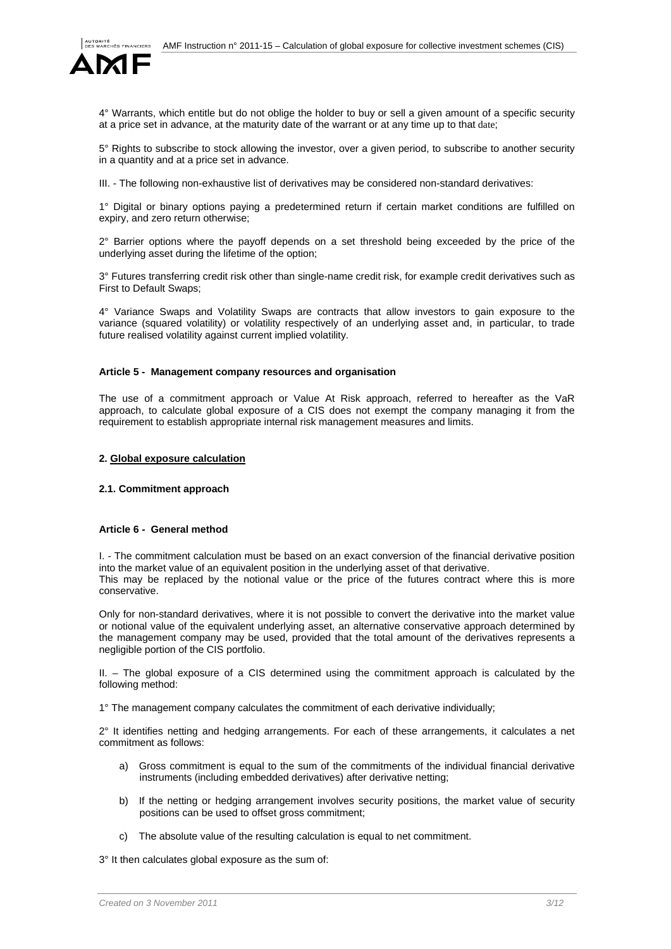

4° Warrants, which entitle but do not oblige the holder to buy or sell a given amount of a specific security at a price set in advance, at the maturity date of the warrant or at any time up to that date;

5° Rights to subscribe to stock allowing the investor, over a given period, to subscribe to another security in a quantity and at a price set in advance.

III. - The following non-exhaustive list of derivatives may be considered non-standard derivatives:

1° Digital or binary options paying a predetermined return if certain market conditions are fulfilled on expiry, and zero return otherwise;

2° Barrier options where the payoff depends on a set threshold being exceeded by the price of the underlying asset during the lifetime of the option;

3° Futures transferring credit risk other than single-name credit risk, for example credit derivatives such as First to Default Swaps;

4° Variance Swaps and Volatility Swaps are contracts that allow investors to gain exposure to the variance (squared volatility) or volatility respectively of an underlying asset and, in particular, to trade future realised volatility against current implied volatility.

#### **Article 5 - Management company resources and organisation**

The use of a commitment approach or Value At Risk approach, referred to hereafter as the VaR approach, to calculate global exposure of a CIS does not exempt the company managing it from the requirement to establish appropriate internal risk management measures and limits.

#### **2. Global exposure calculation**

## **2.1. Commitment approach**

## **Article 6 - General method**

I. - The commitment calculation must be based on an exact conversion of the financial derivative position into the market value of an equivalent position in the underlying asset of that derivative. This may be replaced by the notional value or the price of the futures contract where this is more conservative.

Only for non-standard derivatives, where it is not possible to convert the derivative into the market value or notional value of the equivalent underlying asset, an alternative conservative approach determined by the management company may be used, provided that the total amount of the derivatives represents a negligible portion of the CIS portfolio.

II. – The global exposure of a CIS determined using the commitment approach is calculated by the following method:

1° The management company calculates the commitment of each derivative individually;

2° It identifies netting and hedging arrangements. For each of these arrangements, it calculates a net commitment as follows:

- a) Gross commitment is equal to the sum of the commitments of the individual financial derivative instruments (including embedded derivatives) after derivative netting;
- b) If the netting or hedging arrangement involves security positions, the market value of security positions can be used to offset gross commitment;
- c) The absolute value of the resulting calculation is equal to net commitment.

3° It then calculates global exposure as the sum of: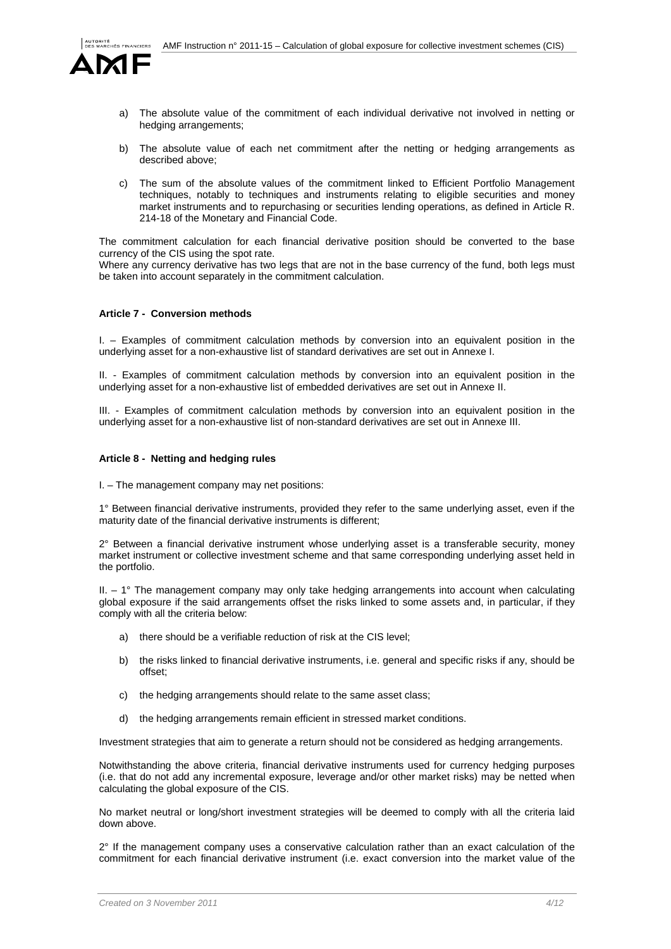

- a) The absolute value of the commitment of each individual derivative not involved in netting or hedging arrangements;
- b) The absolute value of each net commitment after the netting or hedging arrangements as described above;
- c) The sum of the absolute values of the commitment linked to Efficient Portfolio Management techniques, notably to techniques and instruments relating to eligible securities and money market instruments and to repurchasing or securities lending operations, as defined in Article R. 214-18 of the Monetary and Financial Code.

The commitment calculation for each financial derivative position should be converted to the base currency of the CIS using the spot rate.

Where any currency derivative has two legs that are not in the base currency of the fund, both legs must be taken into account separately in the commitment calculation.

## **Article 7 - Conversion methods**

I. – Examples of commitment calculation methods by conversion into an equivalent position in the underlying asset for a non-exhaustive list of standard derivatives are set out in Annexe I.

II. - Examples of commitment calculation methods by conversion into an equivalent position in the underlying asset for a non-exhaustive list of embedded derivatives are set out in Annexe II.

III. - Examples of commitment calculation methods by conversion into an equivalent position in the underlying asset for a non-exhaustive list of non-standard derivatives are set out in Annexe III.

#### **Article 8 - Netting and hedging rules**

I. – The management company may net positions:

1° Between financial derivative instruments, provided they refer to the same underlying asset, even if the maturity date of the financial derivative instruments is different;

2° Between a financial derivative instrument whose underlying asset is a transferable security, money market instrument or collective investment scheme and that same corresponding underlying asset held in the portfolio.

II. – 1° The management company may only take hedging arrangements into account when calculating global exposure if the said arrangements offset the risks linked to some assets and, in particular, if they comply with all the criteria below:

- a) there should be a verifiable reduction of risk at the CIS level;
- b) the risks linked to financial derivative instruments, i.e. general and specific risks if any, should be offset;
- c) the hedging arrangements should relate to the same asset class;
- d) the hedging arrangements remain efficient in stressed market conditions.

Investment strategies that aim to generate a return should not be considered as hedging arrangements.

Notwithstanding the above criteria, financial derivative instruments used for currency hedging purposes (i.e. that do not add any incremental exposure, leverage and/or other market risks) may be netted when calculating the global exposure of the CIS.

No market neutral or long/short investment strategies will be deemed to comply with all the criteria laid down above.

 $2^{\circ}$  If the management company uses a conservative calculation rather than an exact calculation of the commitment for each financial derivative instrument (i.e. exact conversion into the market value of the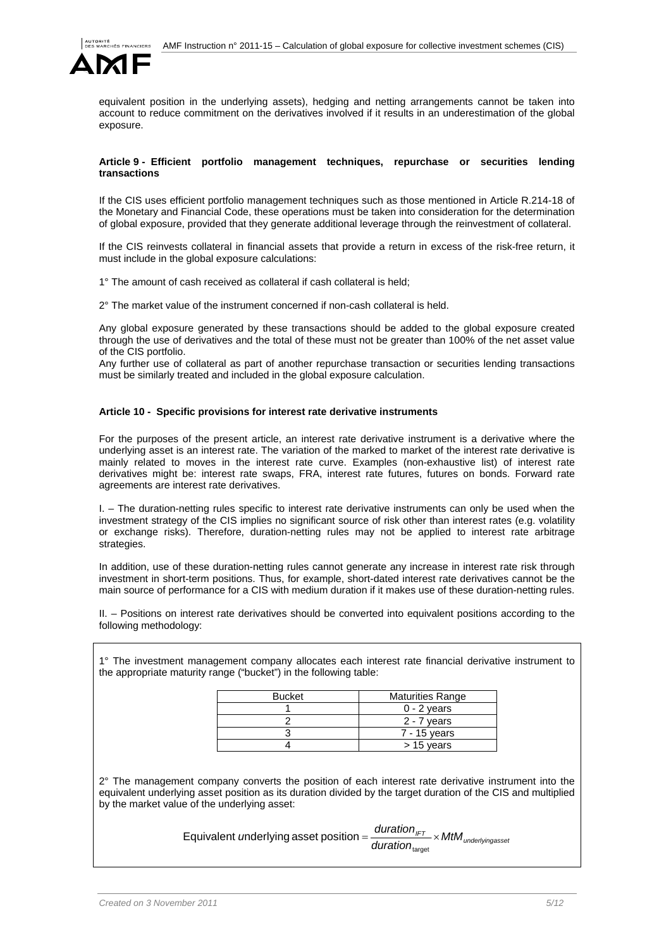

equivalent position in the underlying assets), hedging and netting arrangements cannot be taken into account to reduce commitment on the derivatives involved if it results in an underestimation of the global exposure.

## **Article 9 - Efficient portfolio management techniques, repurchase or securities lending transactions**

If the CIS uses efficient portfolio management techniques such as those mentioned in Article R.214-18 of the Monetary and Financial Code, these operations must be taken into consideration for the determination of global exposure, provided that they generate additional leverage through the reinvestment of collateral.

If the CIS reinvests collateral in financial assets that provide a return in excess of the risk-free return, it must include in the global exposure calculations:

1° The amount of cash received as collateral if cash collateral is held;

2° The market value of the instrument concerned if non-cash collateral is held.

Any global exposure generated by these transactions should be added to the global exposure created through the use of derivatives and the total of these must not be greater than 100% of the net asset value of the CIS portfolio.

Any further use of collateral as part of another repurchase transaction or securities lending transactions must be similarly treated and included in the global exposure calculation.

## **Article 10 - Specific provisions for interest rate derivative instruments**

For the purposes of the present article, an interest rate derivative instrument is a derivative where the underlying asset is an interest rate. The variation of the marked to market of the interest rate derivative is mainly related to moves in the interest rate curve. Examples (non-exhaustive list) of interest rate derivatives might be: interest rate swaps, FRA, interest rate futures, futures on bonds. Forward rate agreements are interest rate derivatives.

I. – The duration-netting rules specific to interest rate derivative instruments can only be used when the investment strategy of the CIS implies no significant source of risk other than interest rates (e.g. volatility or exchange risks). Therefore, duration-netting rules may not be applied to interest rate arbitrage strategies.

In addition, use of these duration-netting rules cannot generate any increase in interest rate risk through investment in short-term positions. Thus, for example, short-dated interest rate derivatives cannot be the main source of performance for a CIS with medium duration if it makes use of these duration-netting rules.

II. – Positions on interest rate derivatives should be converted into equivalent positions according to the following methodology:

1° The investment management company allocates each interest rate financial derivative instrument to the appropriate maturity range ("bucket") in the following table:

| <b>Bucket</b> | <b>Maturities Range</b> |
|---------------|-------------------------|
|               | $0 - 2$ years           |
|               | $2 - 7$ years           |
|               | 7 - 15 years            |
|               | $> 15$ years            |
|               |                         |

2° The management company converts the position of each interest rate derivative instrument into the equivalent underlying asset position as its duration divided by the target duration of the CIS and multiplied by the market value of the underlying asset:

> $\frac{duration_{\text{IFT}}}{dt_{\text{underlying} \text{asse}}}$   $\times \text{MtM}_{\text{underlying} \text{asse}}$ duration<sub>target</sub> Equivalent *u*nderlying asset position =  $\frac{q}{r}$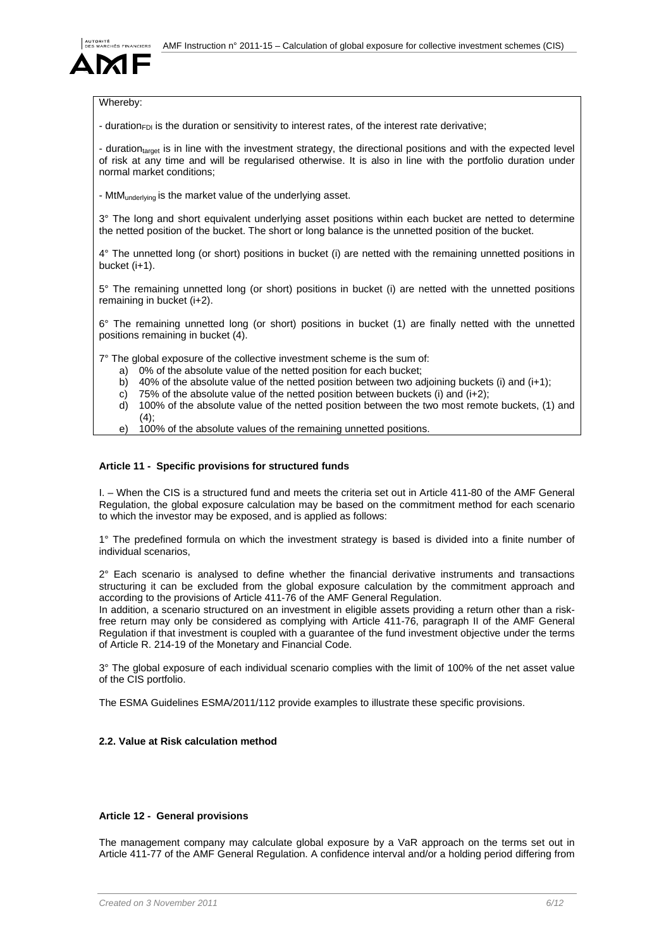

# Whereby:

- duration<sub>FDI</sub> is the duration or sensitivity to interest rates, of the interest rate derivative;

- duration<sub>target</sub> is in line with the investment strategy, the directional positions and with the expected level of risk at any time and will be regularised otherwise. It is also in line with the portfolio duration under normal market conditions;

- MtM<sub>underlying</sub> is the market value of the underlying asset.

3° The long and short equivalent underlying asset positions within each bucket are netted to determine the netted position of the bucket. The short or long balance is the unnetted position of the bucket.

4° The unnetted long (or short) positions in bucket (i) are netted with the remaining unnetted positions in bucket (i+1).

5° The remaining unnetted long (or short) positions in bucket (i) are netted with the unnetted positions remaining in bucket (i+2).

6° The remaining unnetted long (or short) positions in bucket (1) are finally netted with the unnetted positions remaining in bucket (4).

7° The global exposure of the collective investment scheme is the sum of:

- a) 0% of the absolute value of the netted position for each bucket;
- b) 40% of the absolute value of the netted position between two adjoining buckets (i) and (i+1);
- c) 75% of the absolute value of the netted position between buckets (i) and  $(i+2)$ ;

d) 100% of the absolute value of the netted position between the two most remote buckets, (1) and  $(4)$ ;

e) 100% of the absolute values of the remaining unnetted positions.

## **Article 11 - Specific provisions for structured funds**

I. – When the CIS is a structured fund and meets the criteria set out in Article 411-80 of the AMF General Regulation, the global exposure calculation may be based on the commitment method for each scenario to which the investor may be exposed, and is applied as follows:

1° The predefined formula on which the investment strategy is based is divided into a finite number of individual scenarios,

 $2^{\circ}$  Each scenario is analysed to define whether the financial derivative instruments and transactions structuring it can be excluded from the global exposure calculation by the commitment approach and according to the provisions of Article 411-76 of the AMF General Regulation.

In addition, a scenario structured on an investment in eligible assets providing a return other than a riskfree return may only be considered as complying with Article 411-76, paragraph II of the AMF General Regulation if that investment is coupled with a guarantee of the fund investment objective under the terms of Article R. 214-19 of the Monetary and Financial Code.

3° The global exposure of each individual scenario complies with the limit of 100% of the net asset value of the CIS portfolio.

The ESMA Guidelines ESMA/2011/112 provide examples to illustrate these specific provisions.

# **2.2. Value at Risk calculation method**

# **Article 12 - General provisions**

The management company may calculate global exposure by a VaR approach on the terms set out in Article 411-77 of the AMF General Regulation. A confidence interval and/or a holding period differing from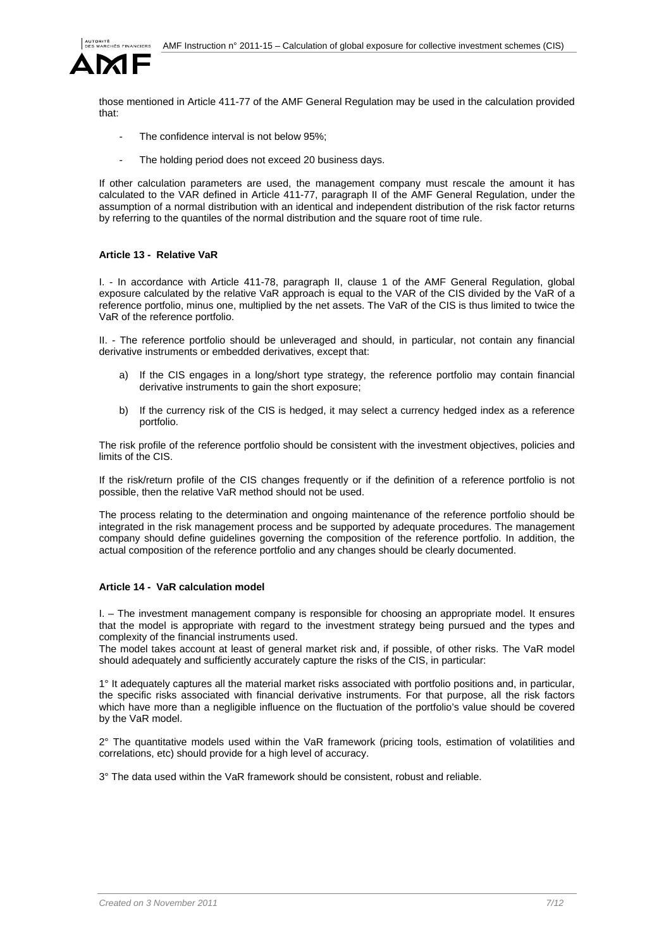

those mentioned in Article 411-77 of the AMF General Regulation may be used in the calculation provided that:

- The confidence interval is not below 95%;
- The holding period does not exceed 20 business days.

If other calculation parameters are used, the management company must rescale the amount it has calculated to the VAR defined in Article 411-77, paragraph II of the AMF General Regulation, under the assumption of a normal distribution with an identical and independent distribution of the risk factor returns by referring to the quantiles of the normal distribution and the square root of time rule.

# **Article 13 - Relative VaR**

I. - In accordance with Article 411-78, paragraph II, clause 1 of the AMF General Regulation, global exposure calculated by the relative VaR approach is equal to the VAR of the CIS divided by the VaR of a reference portfolio, minus one, multiplied by the net assets. The VaR of the CIS is thus limited to twice the VaR of the reference portfolio.

II. - The reference portfolio should be unleveraged and should, in particular, not contain any financial derivative instruments or embedded derivatives, except that:

- a) If the CIS engages in a long/short type strategy, the reference portfolio may contain financial derivative instruments to gain the short exposure;
- b) If the currency risk of the CIS is hedged, it may select a currency hedged index as a reference portfolio.

The risk profile of the reference portfolio should be consistent with the investment objectives, policies and limits of the CIS.

If the risk/return profile of the CIS changes frequently or if the definition of a reference portfolio is not possible, then the relative VaR method should not be used.

The process relating to the determination and ongoing maintenance of the reference portfolio should be integrated in the risk management process and be supported by adequate procedures. The management company should define guidelines governing the composition of the reference portfolio. In addition, the actual composition of the reference portfolio and any changes should be clearly documented.

## **Article 14 - VaR calculation model**

I. – The investment management company is responsible for choosing an appropriate model. It ensures that the model is appropriate with regard to the investment strategy being pursued and the types and complexity of the financial instruments used.

The model takes account at least of general market risk and, if possible, of other risks. The VaR model should adequately and sufficiently accurately capture the risks of the CIS, in particular:

1° It adequately captures all the material market risks associated with portfolio positions and, in particular, the specific risks associated with financial derivative instruments. For that purpose, all the risk factors which have more than a negligible influence on the fluctuation of the portfolio's value should be covered by the VaR model.

2° The quantitative models used within the VaR framework (pricing tools, estimation of volatilities and correlations, etc) should provide for a high level of accuracy.

3° The data used within the VaR framework should be consistent, robust and reliable.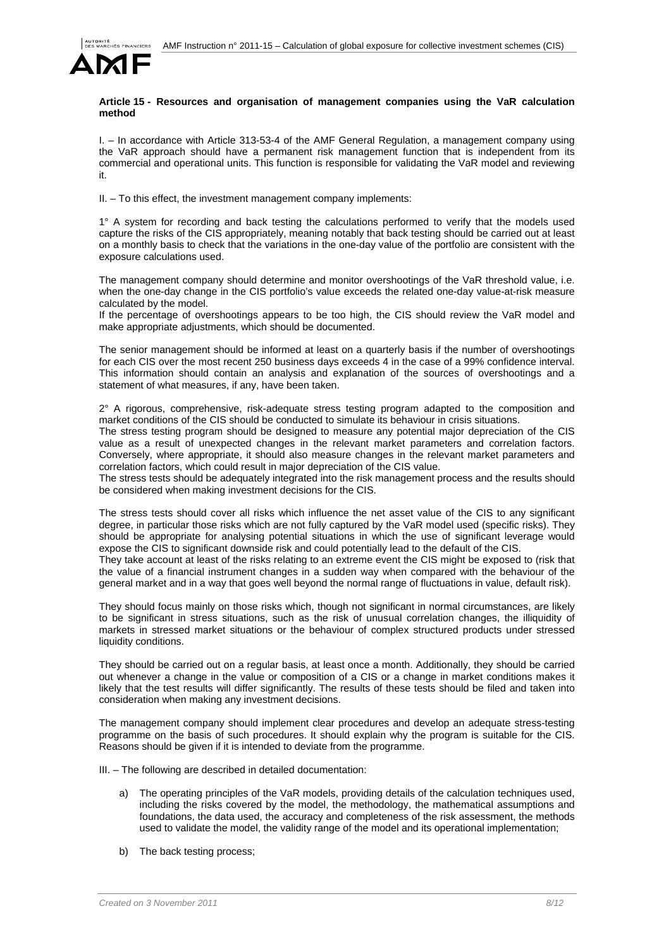

### **Article 15 - Resources and organisation of management companies using the VaR calculation method**

I. – In accordance with Article 313-53-4 of the AMF General Regulation, a management company using the VaR approach should have a permanent risk management function that is independent from its commercial and operational units. This function is responsible for validating the VaR model and reviewing it.

II. – To this effect, the investment management company implements:

1° A system for recording and back testing the calculations performed to verify that the models used capture the risks of the CIS appropriately, meaning notably that back testing should be carried out at least on a monthly basis to check that the variations in the one-day value of the portfolio are consistent with the exposure calculations used.

The management company should determine and monitor overshootings of the VaR threshold value, i.e. when the one-day change in the CIS portfolio's value exceeds the related one-day value-at-risk measure calculated by the model.

If the percentage of overshootings appears to be too high, the CIS should review the VaR model and make appropriate adjustments, which should be documented.

The senior management should be informed at least on a quarterly basis if the number of overshootings for each CIS over the most recent 250 business days exceeds 4 in the case of a 99% confidence interval. This information should contain an analysis and explanation of the sources of overshootings and a statement of what measures, if any, have been taken.

 $2^{\circ}$  A rigorous, comprehensive, risk-adequate stress testing program adapted to the composition and market conditions of the CIS should be conducted to simulate its behaviour in crisis situations.

The stress testing program should be designed to measure any potential major depreciation of the CIS value as a result of unexpected changes in the relevant market parameters and correlation factors. Conversely, where appropriate, it should also measure changes in the relevant market parameters and correlation factors, which could result in major depreciation of the CIS value.

The stress tests should be adequately integrated into the risk management process and the results should be considered when making investment decisions for the CIS.

The stress tests should cover all risks which influence the net asset value of the CIS to any significant degree, in particular those risks which are not fully captured by the VaR model used (specific risks). They should be appropriate for analysing potential situations in which the use of significant leverage would expose the CIS to significant downside risk and could potentially lead to the default of the CIS.

They take account at least of the risks relating to an extreme event the CIS might be exposed to (risk that the value of a financial instrument changes in a sudden way when compared with the behaviour of the general market and in a way that goes well beyond the normal range of fluctuations in value, default risk).

They should focus mainly on those risks which, though not significant in normal circumstances, are likely to be significant in stress situations, such as the risk of unusual correlation changes, the illiquidity of markets in stressed market situations or the behaviour of complex structured products under stressed liquidity conditions.

They should be carried out on a regular basis, at least once a month. Additionally, they should be carried out whenever a change in the value or composition of a CIS or a change in market conditions makes it likely that the test results will differ significantly. The results of these tests should be filed and taken into consideration when making any investment decisions.

The management company should implement clear procedures and develop an adequate stress-testing programme on the basis of such procedures. It should explain why the program is suitable for the CIS. Reasons should be given if it is intended to deviate from the programme.

III. – The following are described in detailed documentation:

- a) The operating principles of the VaR models, providing details of the calculation techniques used, including the risks covered by the model, the methodology, the mathematical assumptions and foundations, the data used, the accuracy and completeness of the risk assessment, the methods used to validate the model, the validity range of the model and its operational implementation;
- b) The back testing process;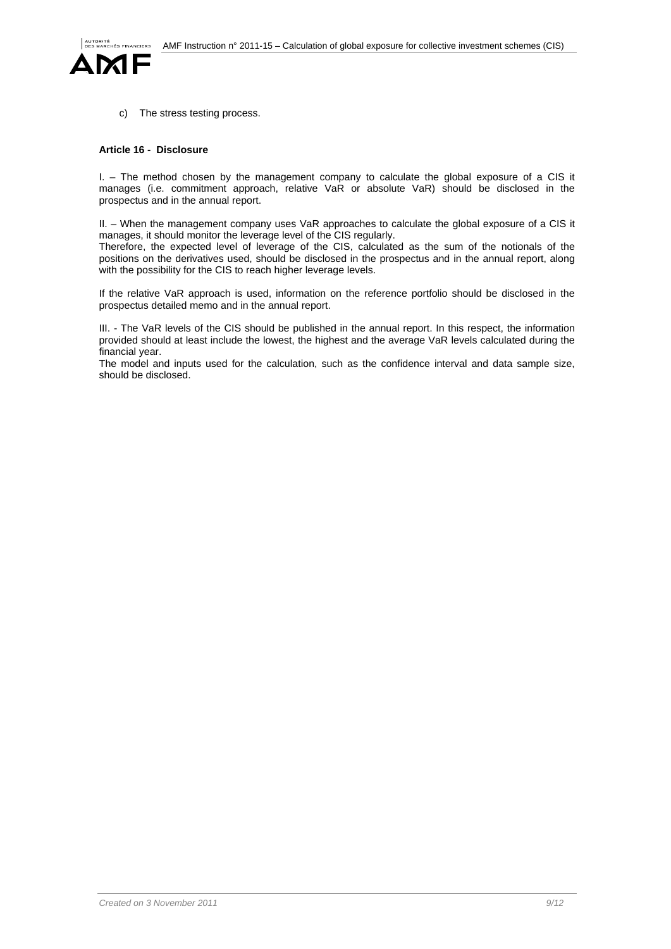

c) The stress testing process.

## **Article 16 - Disclosure**

I. – The method chosen by the management company to calculate the global exposure of a CIS it manages (i.e. commitment approach, relative VaR or absolute VaR) should be disclosed in the prospectus and in the annual report.

II. – When the management company uses VaR approaches to calculate the global exposure of a CIS it manages, it should monitor the leverage level of the CIS regularly.

Therefore, the expected level of leverage of the CIS, calculated as the sum of the notionals of the positions on the derivatives used, should be disclosed in the prospectus and in the annual report, along with the possibility for the CIS to reach higher leverage levels.

If the relative VaR approach is used, information on the reference portfolio should be disclosed in the prospectus detailed memo and in the annual report.

III. - The VaR levels of the CIS should be published in the annual report. In this respect, the information provided should at least include the lowest, the highest and the average VaR levels calculated during the financial year.

The model and inputs used for the calculation, such as the confidence interval and data sample size, should be disclosed.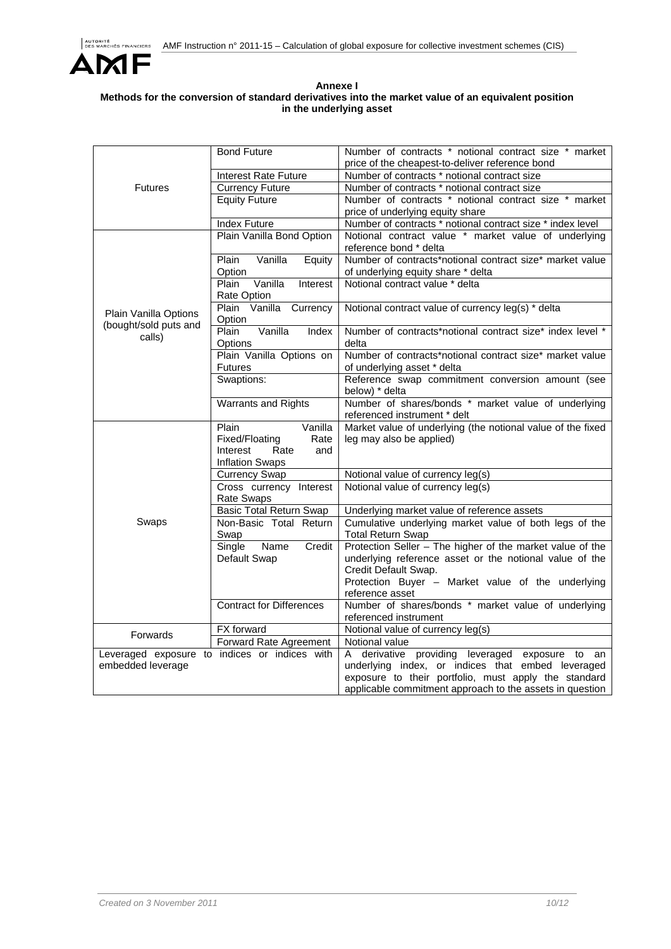

## **Annexe I Methods for the conversion of standard derivatives into the market value of an equivalent position in the underlying asset**

| <b>Futures</b>        | <b>Bond Future</b>                              | Number of contracts * notional contract size * market<br>price of the cheapest-to-deliver reference bond |
|-----------------------|-------------------------------------------------|----------------------------------------------------------------------------------------------------------|
|                       | <b>Interest Rate Future</b>                     | Number of contracts * notional contract size                                                             |
|                       | <b>Currency Future</b>                          | Number of contracts * notional contract size                                                             |
|                       | <b>Equity Future</b>                            | Number of contracts * notional contract size * market                                                    |
|                       |                                                 | price of underlying equity share                                                                         |
|                       | <b>Index Future</b>                             | Number of contracts * notional contract size * index level                                               |
|                       | Plain Vanilla Bond Option                       | Notional contract value * market value of underlying                                                     |
|                       |                                                 | reference bond * delta                                                                                   |
|                       | Vanilla<br>Plain<br>Equity                      | Number of contracts*notional contract size* market value                                                 |
|                       | Option                                          | of underlying equity share * delta                                                                       |
|                       | Plain<br>Vanilla<br>Interest                    | Notional contract value * delta                                                                          |
|                       | Rate Option                                     |                                                                                                          |
| Plain Vanilla Options | Plain Vanilla Currency                          | Notional contract value of currency leg(s) * delta                                                       |
| (bought/sold puts and | Option                                          |                                                                                                          |
| calls)                | Vanilla<br>Plain<br>Index                       | Number of contracts*notional contract size* index level *                                                |
|                       | Options                                         | delta                                                                                                    |
|                       | Plain Vanilla Options on                        | Number of contracts*notional contract size* market value                                                 |
|                       | <b>Futures</b>                                  | of underlying asset * delta                                                                              |
|                       | Swaptions:                                      | Reference swap commitment conversion amount (see                                                         |
|                       |                                                 | below) * delta                                                                                           |
|                       | <b>Warrants and Rights</b>                      | Number of shares/bonds * market value of underlying                                                      |
|                       |                                                 | referenced instrument * delt                                                                             |
|                       | Plain<br>Vanilla                                | Market value of underlying (the notional value of the fixed                                              |
|                       | Fixed/Floating<br>Rate                          | leg may also be applied)                                                                                 |
|                       | Rate<br>Interest<br>and                         |                                                                                                          |
|                       | <b>Inflation Swaps</b>                          |                                                                                                          |
|                       | <b>Currency Swap</b><br>Cross currency Interest | Notional value of currency leg(s)<br>Notional value of currency leg(s)                                   |
|                       | <b>Rate Swaps</b>                               |                                                                                                          |
| Swaps                 | <b>Basic Total Return Swap</b>                  | Underlying market value of reference assets                                                              |
|                       | Non-Basic Total Return                          | Cumulative underlying market value of both legs of the                                                   |
|                       | Swap                                            | <b>Total Return Swap</b>                                                                                 |
|                       | Name<br>Credit<br>Single                        | Protection Seller - The higher of the market value of the                                                |
|                       | Default Swap                                    | underlying reference asset or the notional value of the                                                  |
|                       |                                                 | Credit Default Swap.                                                                                     |
|                       |                                                 | Protection Buyer - Market value of the underlying                                                        |
|                       |                                                 | reference asset                                                                                          |
|                       | <b>Contract for Differences</b>                 | Number of shares/bonds * market value of underlying                                                      |
|                       |                                                 | referenced instrument                                                                                    |
| Forwards              | <b>FX</b> forward                               | Notional value of currency leg(s)                                                                        |
|                       | Forward Rate Agreement                          | Notional value                                                                                           |
|                       | Leveraged exposure to indices or indices with   | A derivative providing leveraged exposure to an                                                          |
| embedded leverage     |                                                 | underlying index, or indices that embed leveraged                                                        |
|                       |                                                 | exposure to their portfolio, must apply the standard                                                     |
|                       |                                                 | applicable commitment approach to the assets in question                                                 |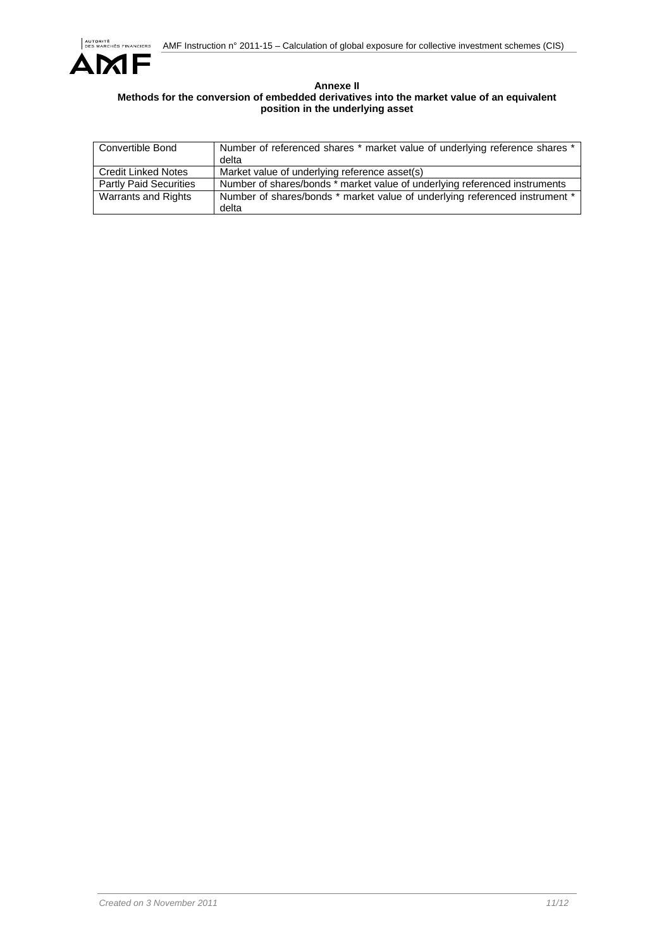

#### **Annexe II Methods for the conversion of embedded derivatives into the market value of an equivalent position in the underlying asset**

| <b>Convertible Bond</b>       | Number of referenced shares * market value of underlying reference shares *<br>delta |
|-------------------------------|--------------------------------------------------------------------------------------|
| <b>Credit Linked Notes</b>    | Market value of underlying reference asset(s)                                        |
| <b>Partly Paid Securities</b> | Number of shares/bonds * market value of underlying referenced instruments           |
| Warrants and Rights           | Number of shares/bonds * market value of underlying referenced instrument *<br>delta |